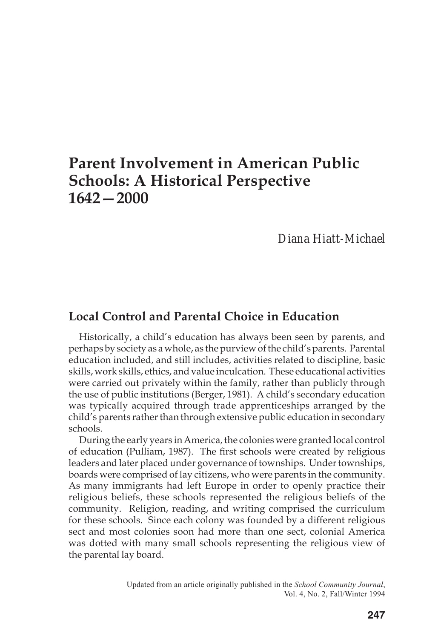# **Parent Involvement in American Public Schools: A Historical Perspective 1642—2000**

# *Diana Hiatt-Michael*

## **Local Control and Parental Choice in Education**

Historically, a child's education has always been seen by parents, and perhaps by society as a whole, as the purview of the child's parents. Parental education included, and still includes, activities related to discipline, basic skills, work skills, ethics, and value inculcation. These educational activities were carried out privately within the family, rather than publicly through the use of public institutions (Berger, 1981). A child's secondary education was typically acquired through trade apprenticeships arranged by the child's parents rather than through extensive public education in secondary schools.

During the early years in America, the colonies were granted local control of education (Pulliam, 1987). The first schools were created by religious leaders and later placed under governance of townships. Under townships, boards were comprised of lay citizens, who were parents in the community. As many immigrants had left Europe in order to openly practice their religious beliefs, these schools represented the religious beliefs of the community. Religion, reading, and writing comprised the curriculum for these schools. Since each colony was founded by a different religious sect and most colonies soon had more than one sect, colonial America was dotted with many small schools representing the religious view of the parental lay board.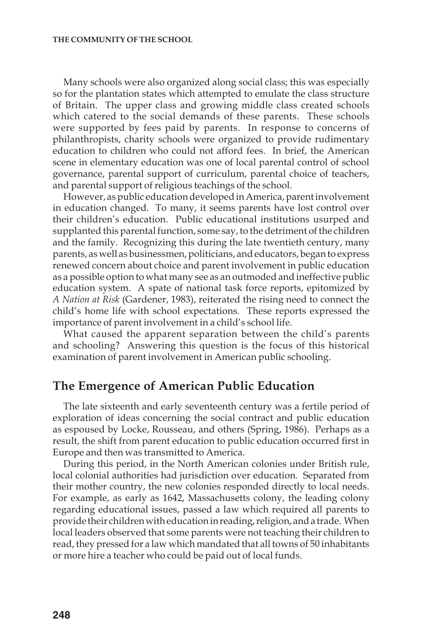Many schools were also organized along social class; this was especially so for the plantation states which attempted to emulate the class structure of Britain. The upper class and growing middle class created schools which catered to the social demands of these parents. These schools were supported by fees paid by parents. In response to concerns of philanthropists, charity schools were organized to provide rudimentary education to children who could not afford fees. In brief, the American scene in elementary education was one of local parental control of school governance, parental support of curriculum, parental choice of teachers, and parental support of religious teachings of the school.

However, as public education developed in America, parent involvement in education changed. To many, it seems parents have lost control over their children's education. Public educational institutions usurped and supplanted this parental function, some say, to the detriment of the children and the family. Recognizing this during the late twentieth century, many parents, as well as businessmen, politicians, and educators, began to express renewed concern about choice and parent involvement in public education as a possible option to what many see as an outmoded and ineffective public education system. A spate of national task force reports, epitomized by *A Nation at Risk* (Gardener, 1983), reiterated the rising need to connect the child's home life with school expectations. These reports expressed the importance of parent involvement in a child's school life.

What caused the apparent separation between the child's parents and schooling? Answering this question is the focus of this historical examination of parent involvement in American public schooling.

### **The Emergence of American Public Education**

The late sixteenth and early seventeenth century was a fertile period of exploration of ideas concerning the social contract and public education as espoused by Locke, Rousseau, and others (Spring, 1986). Perhaps as a result, the shift from parent education to public education occurred first in Europe and then was transmitted to America.

During this period, in the North American colonies under British rule, local colonial authorities had jurisdiction over education. Separated from their mother country, the new colonies responded directly to local needs. For example, as early as 1642, Massachusetts colony, the leading colony regarding educational issues, passed a law which required all parents to provide their children with education in reading, religion, and a trade. When local leaders observed that some parents were not teaching their children to read, they pressed for a law which mandated that all towns of 50 inhabitants or more hire a teacher who could be paid out of local funds.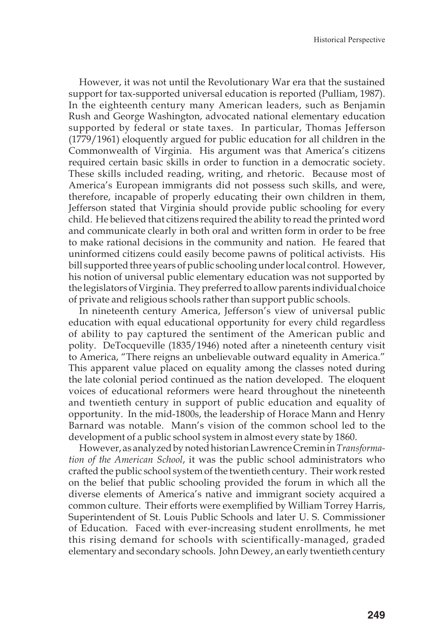However, it was not until the Revolutionary War era that the sustained support for tax-supported universal education is reported (Pulliam, 1987). In the eighteenth century many American leaders, such as Benjamin Rush and George Washington, advocated national elementary education supported by federal or state taxes. In particular, Thomas Jefferson (1779/1961) eloquently argued for public education for all children in the Commonwealth of Virginia. His argument was that America's citizens required certain basic skills in order to function in a democratic society. These skills included reading, writing, and rhetoric. Because most of America's European immigrants did not possess such skills, and were, therefore, incapable of properly educating their own children in them, Jefferson stated that Virginia should provide public schooling for every child. He believed that citizens required the ability to read the printed word and communicate clearly in both oral and written form in order to be free to make rational decisions in the community and nation. He feared that uninformed citizens could easily become pawns of political activists. His bill supported three years of public schooling under local control. However, his notion of universal public elementary education was not supported by the legislators of Virginia. They preferred to allow parents individual choice of private and religious schools rather than support public schools.

In nineteenth century America, Jefferson's view of universal public education with equal educational opportunity for every child regardless of ability to pay captured the sentiment of the American public and polity. DeTocqueville (1835/1946) noted after a nineteenth century visit to America, "There reigns an unbelievable outward equality in America." This apparent value placed on equality among the classes noted during the late colonial period continued as the nation developed. The eloquent voices of educational reformers were heard throughout the nineteenth and twentieth century in support of public education and equality of opportunity. In the mid-1800s, the leadership of Horace Mann and Henry Barnard was notable. Mann's vision of the common school led to the development of a public school system in almost every state by 1860.

However, as analyzed by noted historian Lawrence Cremin in *Transformation of the American School*, it was the public school administrators who crafted the public school system of the twentieth century. Their work rested on the belief that public schooling provided the forum in which all the diverse elements of America's native and immigrant society acquired a common culture. Their efforts were exemplified by William Torrey Harris, Superintendent of St. Louis Public Schools and later U. S. Commissioner of Education. Faced with ever-increasing student enrollments, he met this rising demand for schools with scientifically-managed, graded elementary and secondary schools. John Dewey, an early twentieth century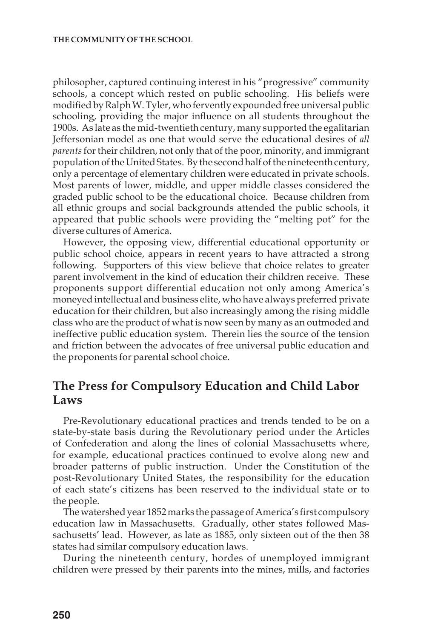philosopher, captured continuing interest in his "progressive" community schools, a concept which rested on public schooling. His beliefs were modified by Ralph W. Tyler, who fervently expounded free universal public schooling, providing the major influence on all students throughout the 1900s. As late as the mid-twentieth century, many supported the egalitarian Jeffersonian model as one that would serve the educational desires of *all parents* for their children, not only that of the poor, minority, and immigrant population of the United States. By the second half of the nineteenth century, only a percentage of elementary children were educated in private schools. Most parents of lower, middle, and upper middle classes considered the graded public school to be the educational choice. Because children from all ethnic groups and social backgrounds attended the public schools, it appeared that public schools were providing the "melting pot" for the diverse cultures of America.

However, the opposing view, differential educational opportunity or public school choice, appears in recent years to have attracted a strong following. Supporters of this view believe that choice relates to greater parent involvement in the kind of education their children receive. These proponents support differential education not only among America's moneyed intellectual and business elite, who have always preferred private education for their children, but also increasingly among the rising middle class who are the product of what is now seen by many as an outmoded and ineffective public education system. Therein lies the source of the tension and friction between the advocates of free universal public education and the proponents for parental school choice.

# **The Press for Compulsory Education and Child Labor Laws**

Pre-Revolutionary educational practices and trends tended to be on a state-by-state basis during the Revolutionary period under the Articles of Confederation and along the lines of colonial Massachusetts where, for example, educational practices continued to evolve along new and broader patterns of public instruction. Under the Constitution of the post-Revolutionary United States, the responsibility for the education of each state's citizens has been reserved to the individual state or to the people.

The watershed year 1852 marks the passage of America's first compulsory education law in Massachusetts. Gradually, other states followed Massachusetts' lead. However, as late as 1885, only sixteen out of the then 38 states had similar compulsory education laws.

During the nineteenth century, hordes of unemployed immigrant children were pressed by their parents into the mines, mills, and factories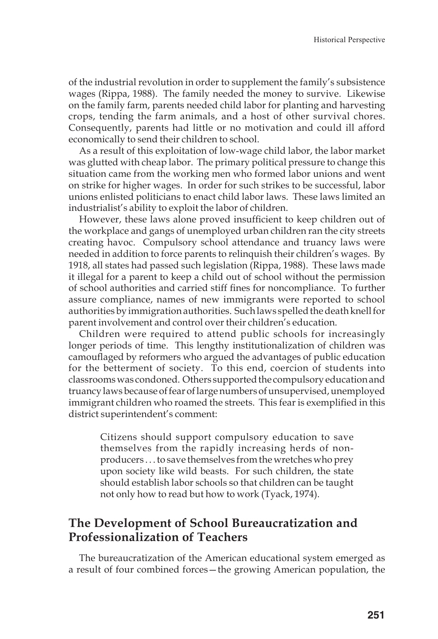of the industrial revolution in order to supplement the family's subsistence wages (Rippa, 1988). The family needed the money to survive. Likewise on the family farm, parents needed child labor for planting and harvesting crops, tending the farm animals, and a host of other survival chores. Consequently, parents had little or no motivation and could ill afford economically to send their children to school.

As a result of this exploitation of low-wage child labor, the labor market was glutted with cheap labor. The primary political pressure to change this situation came from the working men who formed labor unions and went on strike for higher wages. In order for such strikes to be successful, labor unions enlisted politicians to enact child labor laws. These laws limited an industrialist's ability to exploit the labor of children.

However, these laws alone proved insufficient to keep children out of the workplace and gangs of unemployed urban children ran the city streets creating havoc. Compulsory school attendance and truancy laws were needed in addition to force parents to relinquish their children's wages. By 1918, all states had passed such legislation (Rippa, 1988). These laws made it illegal for a parent to keep a child out of school without the permission of school authorities and carried stiff fines for noncompliance. To further assure compliance, names of new immigrants were reported to school authorities by immigration authorities. Such laws spelled the death knell for parent involvement and control over their children's education.

Children were required to attend public schools for increasingly longer periods of time. This lengthy institutionalization of children was camouflaged by reformers who argued the advantages of public education for the betterment of society. To this end, coercion of students into classrooms was condoned. Others supported the compulsory education and truancy laws because of fear of large numbers of unsupervised, unemployed immigrant children who roamed the streets. This fear is exemplified in this district superintendent's comment:

Citizens should support compulsory education to save themselves from the rapidly increasing herds of nonproducers . . . to save themselves from the wretches who prey upon society like wild beasts. For such children, the state should establish labor schools so that children can be taught not only how to read but how to work (Tyack, 1974).

# **The Development of School Bureaucratization and Professionalization of Teachers**

The bureaucratization of the American educational system emerged as a result of four combined forces—the growing American population, the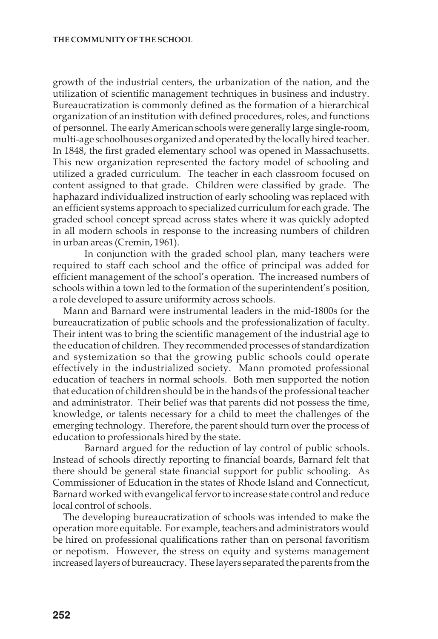growth of the industrial centers, the urbanization of the nation, and the utilization of scientific management techniques in business and industry. Bureaucratization is commonly defined as the formation of a hierarchical organization of an institution with defined procedures, roles, and functions of personnel. The early American schools were generally large single-room, multi-age schoolhouses organized and operated by the locally hired teacher. In 1848, the first graded elementary school was opened in Massachusetts. This new organization represented the factory model of schooling and utilized a graded curriculum. The teacher in each classroom focused on content assigned to that grade. Children were classified by grade. The haphazard individualized instruction of early schooling was replaced with an efficient systems approach to specialized curriculum for each grade. The graded school concept spread across states where it was quickly adopted in all modern schools in response to the increasing numbers of children in urban areas (Cremin, 1961).

In conjunction with the graded school plan, many teachers were required to staff each school and the office of principal was added for efficient management of the school's operation. The increased numbers of schools within a town led to the formation of the superintendent's position, a role developed to assure uniformity across schools.

Mann and Barnard were instrumental leaders in the mid-1800s for the bureaucratization of public schools and the professionalization of faculty. Their intent was to bring the scientific management of the industrial age to the education of children. They recommended processes of standardization and systemization so that the growing public schools could operate effectively in the industrialized society. Mann promoted professional education of teachers in normal schools. Both men supported the notion that education of children should be in the hands of the professional teacher and administrator. Their belief was that parents did not possess the time, knowledge, or talents necessary for a child to meet the challenges of the emerging technology. Therefore, the parent should turn over the process of education to professionals hired by the state.

Barnard argued for the reduction of lay control of public schools. Instead of schools directly reporting to financial boards, Barnard felt that there should be general state financial support for public schooling. As Commissioner of Education in the states of Rhode Island and Connecticut, Barnard worked with evangelical fervor to increase state control and reduce local control of schools.

The developing bureaucratization of schools was intended to make the operation more equitable. For example, teachers and administrators would be hired on professional qualifications rather than on personal favoritism or nepotism. However, the stress on equity and systems management increased layers of bureaucracy. These layers separated the parents from the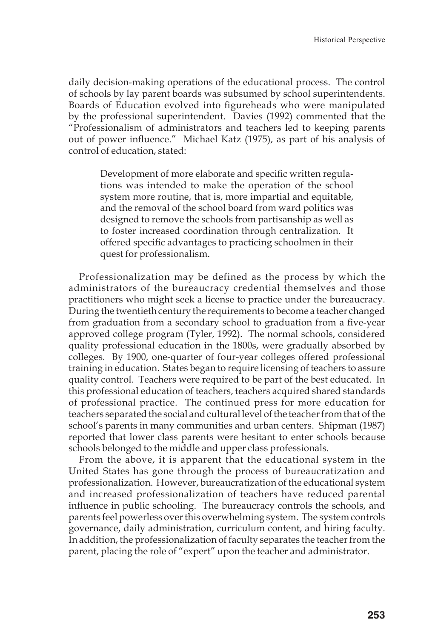daily decision-making operations of the educational process. The control of schools by lay parent boards was subsumed by school superintendents. Boards of Education evolved into figureheads who were manipulated by the professional superintendent. Davies (1992) commented that the "Professionalism of administrators and teachers led to keeping parents out of power influence." Michael Katz (1975), as part of his analysis of control of education, stated:

Development of more elaborate and specific written regulations was intended to make the operation of the school system more routine, that is, more impartial and equitable, and the removal of the school board from ward politics was designed to remove the schools from partisanship as well as to foster increased coordination through centralization. It offered specific advantages to practicing schoolmen in their quest for professionalism.

Professionalization may be defined as the process by which the administrators of the bureaucracy credential themselves and those practitioners who might seek a license to practice under the bureaucracy. During the twentieth century the requirements to become a teacher changed from graduation from a secondary school to graduation from a five-year approved college program (Tyler, 1992). The normal schools, considered quality professional education in the 1800s, were gradually absorbed by colleges. By 1900, one-quarter of four-year colleges offered professional training in education. States began to require licensing of teachers to assure quality control. Teachers were required to be part of the best educated. In this professional education of teachers, teachers acquired shared standards of professional practice. The continued press for more education for teachers separated the social and cultural level of the teacher from that of the school's parents in many communities and urban centers. Shipman (1987) reported that lower class parents were hesitant to enter schools because schools belonged to the middle and upper class professionals.

From the above, it is apparent that the educational system in the United States has gone through the process of bureaucratization and professionalization. However, bureaucratization of the educational system and increased professionalization of teachers have reduced parental influence in public schooling. The bureaucracy controls the schools, and parents feel powerless over this overwhelming system. The system controls governance, daily administration, curriculum content, and hiring faculty. In addition, the professionalization of faculty separates the teacher from the parent, placing the role of "expert" upon the teacher and administrator.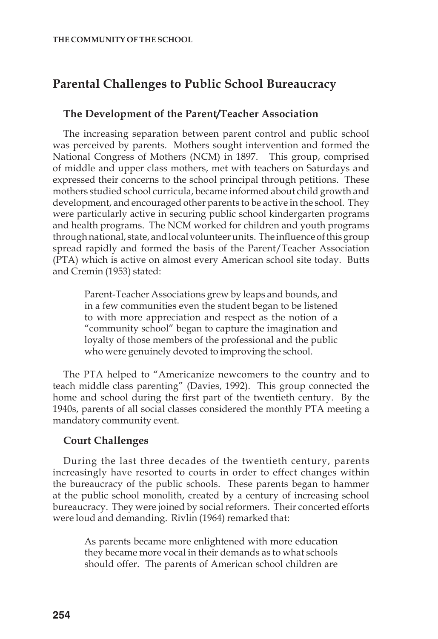# **Parental Challenges to Public School Bureaucracy**

#### **The Development of the Parent/Teacher Association**

The increasing separation between parent control and public school was perceived by parents. Mothers sought intervention and formed the National Congress of Mothers (NCM) in 1897. This group, comprised of middle and upper class mothers, met with teachers on Saturdays and expressed their concerns to the school principal through petitions. These mothers studied school curricula, became informed about child growth and development, and encouraged other parents to be active in the school. They were particularly active in securing public school kindergarten programs and health programs. The NCM worked for children and youth programs through national, state, and local volunteer units. The influence of this group spread rapidly and formed the basis of the Parent/Teacher Association (PTA) which is active on almost every American school site today. Butts and Cremin (1953) stated:

Parent-Teacher Associations grew by leaps and bounds, and in a few communities even the student began to be listened to with more appreciation and respect as the notion of a "community school" began to capture the imagination and loyalty of those members of the professional and the public who were genuinely devoted to improving the school.

The PTA helped to "Americanize newcomers to the country and to teach middle class parenting" (Davies, 1992). This group connected the home and school during the first part of the twentieth century. By the 1940s, parents of all social classes considered the monthly PTA meeting a mandatory community event.

#### **Court Challenges**

During the last three decades of the twentieth century, parents increasingly have resorted to courts in order to effect changes within the bureaucracy of the public schools. These parents began to hammer at the public school monolith, created by a century of increasing school bureaucracy. They were joined by social reformers. Their concerted efforts were loud and demanding. Rivlin (1964) remarked that:

As parents became more enlightened with more education they became more vocal in their demands as to what schools should offer. The parents of American school children are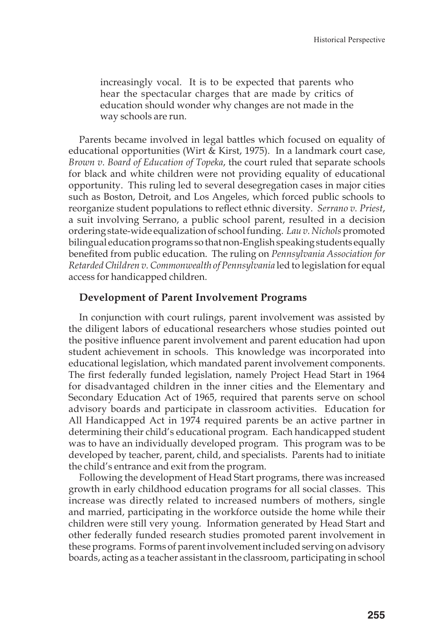increasingly vocal. It is to be expected that parents who hear the spectacular charges that are made by critics of education should wonder why changes are not made in the way schools are run.

Parents became involved in legal battles which focused on equality of educational opportunities (Wirt & Kirst, 1975). In a landmark court case, *Brown v. Board of Education of Topeka*, the court ruled that separate schools for black and white children were not providing equality of educational opportunity. This ruling led to several desegregation cases in major cities such as Boston, Detroit, and Los Angeles, which forced public schools to reorganize student populations to reflect ethnic diversity. *Serrano v. Priest*, a suit involving Serrano, a public school parent, resulted in a decision ordering state-wide equalization of school funding. *Lau v. Nichols* promoted bilingual education programs so that non-English speaking students equally benefited from public education. The ruling on *Pennsylvania Association for Retarded Children v. Commonwealth of Pennsylvania* led to legislation for equal access for handicapped children.

#### **Development of Parent Involvement Programs**

In conjunction with court rulings, parent involvement was assisted by the diligent labors of educational researchers whose studies pointed out the positive influence parent involvement and parent education had upon student achievement in schools. This knowledge was incorporated into educational legislation, which mandated parent involvement components. The first federally funded legislation, namely Project Head Start in 1964 for disadvantaged children in the inner cities and the Elementary and Secondary Education Act of 1965, required that parents serve on school advisory boards and participate in classroom activities. Education for All Handicapped Act in 1974 required parents be an active partner in determining their child's educational program. Each handicapped student was to have an individually developed program. This program was to be developed by teacher, parent, child, and specialists. Parents had to initiate the child's entrance and exit from the program.

Following the development of Head Start programs, there was increased growth in early childhood education programs for all social classes. This increase was directly related to increased numbers of mothers, single and married, participating in the workforce outside the home while their children were still very young. Information generated by Head Start and other federally funded research studies promoted parent involvement in these programs. Forms of parent involvement included serving on advisory boards, acting as a teacher assistant in the classroom, participating in school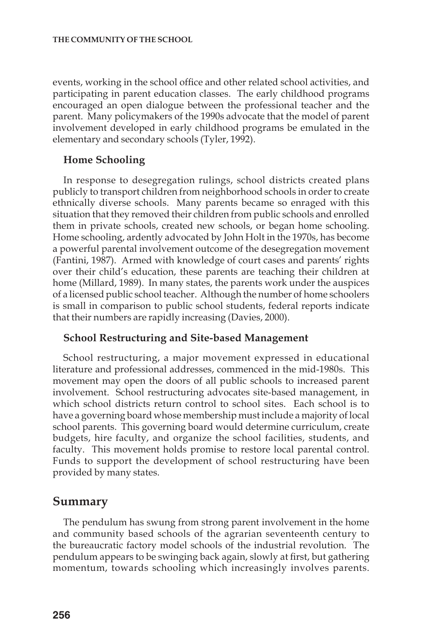events, working in the school office and other related school activities, and participating in parent education classes. The early childhood programs encouraged an open dialogue between the professional teacher and the parent. Many policymakers of the 1990s advocate that the model of parent involvement developed in early childhood programs be emulated in the elementary and secondary schools (Tyler, 1992).

#### **Home Schooling**

In response to desegregation rulings, school districts created plans publicly to transport children from neighborhood schools in order to create ethnically diverse schools. Many parents became so enraged with this situation that they removed their children from public schools and enrolled them in private schools, created new schools, or began home schooling. Home schooling, ardently advocated by John Holt in the 1970s, has become a powerful parental involvement outcome of the desegregation movement (Fantini, 1987). Armed with knowledge of court cases and parents' rights over their child's education, these parents are teaching their children at home (Millard, 1989). In many states, the parents work under the auspices of a licensed public school teacher. Although the number of home schoolers is small in comparison to public school students, federal reports indicate that their numbers are rapidly increasing (Davies, 2000).

#### **School Restructuring and Site-based Management**

School restructuring, a major movement expressed in educational literature and professional addresses, commenced in the mid-1980s. This movement may open the doors of all public schools to increased parent involvement. School restructuring advocates site-based management, in which school districts return control to school sites. Each school is to have a governing board whose membership must include a majority of local school parents. This governing board would determine curriculum, create budgets, hire faculty, and organize the school facilities, students, and faculty. This movement holds promise to restore local parental control. Funds to support the development of school restructuring have been provided by many states.

### **Summary**

The pendulum has swung from strong parent involvement in the home and community based schools of the agrarian seventeenth century to the bureaucratic factory model schools of the industrial revolution. The pendulum appears to be swinging back again, slowly at first, but gathering momentum, towards schooling which increasingly involves parents.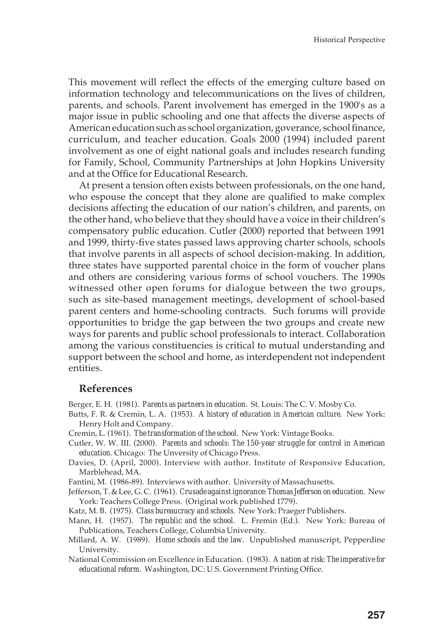This movement will reflect the effects of the emerging culture based on information technology and telecommunications on the lives of children, parents, and schools. Parent involvement has emerged in the 1900's as a major issue in public schooling and one that affects the diverse aspects of American education such as school organization, goverance, school finance, curriculum, and teacher education. Goals 2000 (1994) included parent involvement as one of eight national goals and includes research funding for Family, School, Community Partnerships at John Hopkins University and at the Office for Educational Research.

At present a tension often exists between professionals, on the one hand, who espouse the concept that they alone are qualified to make complex decisions affecting the education of our nation's children, and parents, on the other hand, who believe that they should have a voice in their children's compensatory public education. Cutler (2000) reported that between 1991 and 1999, thirty-five states passed laws approving charter schools, schools that involve parents in all aspects of school decision-making. In addition, three states have supported parental choice in the form of voucher plans and others are considering various forms of school vouchers. The 1990s witnessed other open forums for dialogue between the two groups, such as site-based management meetings, development of school-based parent centers and home-schooling contracts. Such forums will provide opportunities to bridge the gap between the two groups and create new ways for parents and public school professionals to interact. Collaboration among the various constituencies is critical to mutual understanding and support between the school and home, as interdependent not independent entities.

#### **References**

Berger, E. H. (1981). *Parents as partners in education.* St. Louis: The C. V. Mosby Co.

- Butts, F. R. & Cremin, L. A. (1953). *A history of education in American culture*. New York: Henry Holt and Company.
- Cremin, L. (1961). *The transformation of the school*. New York: Vintage Books.
- Cutler, W. W. III. (2000). *Parents and schools: The 150-year struggle for control in American education.* Chicago: The Unversity of Chicago Press.
- Davies, D. (April, 2000). Interview with author. Institute of Responsive Education, Marblehead, MA.

Fantini, M. (1986-89). Interviews with author. University of Massachusetts.

- Jefferson, T. & Lee, G. C. (1961). *Crusade against ignorance: Thomas Jefferson on education*. New York: Teachers College Press. (Original work published 1779).
- Katz, M. B. (1975). *Class bureaucracy and schools.* New York: Praeger Publishers.
- Mann, H. (1957). *The republic and the school*. L. Fremin (Ed.). New York: Bureau of Publications, Teachers College, Columbia University.
- Millard, A. W. (1989). *Home schools and the law.* Unpublished manuscript, Pepperdine University.
- National Commission on Excellence in Education. (1983). *A nation at risk: The imperative for educational reform*. Washington, DC: U.S. Government Printing Office.